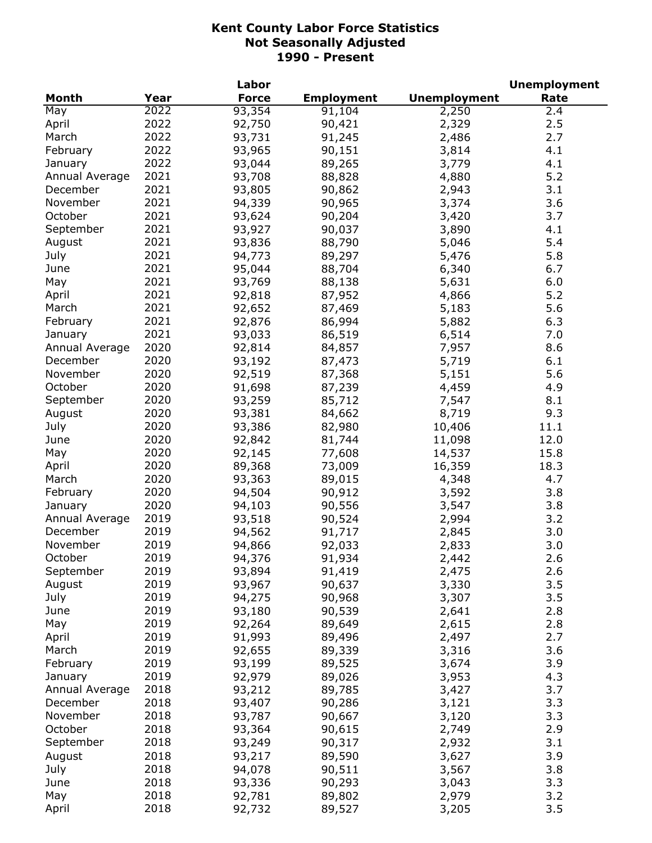| <b>Month</b><br>Year<br><b>Force</b><br><b>Employment</b><br><b>Unemployment</b><br>Rate<br>2022<br>93,354<br>May<br>91,104<br>2,250<br>2.4<br>2022<br>2.5<br>April<br>92,750<br>90,421<br>2,329<br>2022<br>March<br>2.7<br>93,731<br>91,245<br>2,486<br>2022<br>February<br>93,965<br>90,151<br>3,814<br>4.1<br>2022<br>93,044<br>89,265<br>3,779<br>4.1<br>January<br>2021<br>5.2<br>Annual Average<br>93,708<br>88,828<br>4,880<br>2021<br>3.1<br>December<br>93,805<br>90,862<br>2,943<br>2021<br>3,374<br>3.6<br>November<br>94,339<br>90,965<br>2021<br>October<br>3,420<br>3.7<br>93,624<br>90,204<br>2021<br>93,927<br>3,890<br>September<br>90,037<br>4.1<br>2021<br>93,836<br>5,046<br>5.4<br>August<br>88,790<br>2021<br>94,773<br>5,476<br>5.8<br>July<br>89,297<br>2021<br>95,044<br>88,704<br>6,340<br>June<br>6.7<br>2021<br>93,769<br>88,138<br>5,631<br>6.0<br>May<br>2021<br>92,818<br>4,866<br>5.2<br>April<br>87,952<br>2021<br>5.6<br>March<br>92,652<br>87,469<br>5,183<br>2021<br>6.3<br>February<br>92,876<br>86,994<br>5,882<br>2021<br>93,033<br>86,519<br>6,514<br>7.0<br>January<br>2020<br>92,814<br>8.6<br>Annual Average<br>84,857<br>7,957<br>2020<br>December<br>93,192<br>5,719<br>6.1<br>87,473<br>2020<br>November<br>92,519<br>5.6<br>87,368<br>5,151<br>2020<br>October<br>91,698<br>87,239<br>4,459<br>4.9<br>2020<br>93,259<br>8.1<br>September<br>85,712<br>7,547<br>2020<br>93,381<br>8,719<br>84,662<br>9.3<br>August<br>2020<br>93,386<br>10,406<br>July<br>82,980<br>11.1<br>2020<br>92,842<br>11,098<br>June<br>81,744<br>12.0<br>2020<br>92,145<br>14,537<br>May<br>77,608<br>15.8<br>2020<br>89,368<br>16,359<br>18.3<br>73,009<br>April<br>2020<br>93,363<br>89,015<br>4,348<br>March<br>4.7<br>2020<br>94,504<br>3,592<br>3.8<br>February<br>90,912<br>2020<br>90,556<br>3.8<br>94,103<br>3,547<br>January<br>2019<br>3.2<br>Annual Average<br>93,518<br>90,524<br>2,994<br>2019<br>3.0<br>December<br>94,562<br>91,717<br>2,845<br>November<br>2019<br>92,033<br>3.0<br>94,866<br>2,833<br>2019<br>October<br>94,376<br>91,934<br>2,442<br>2.6<br>2019<br>2.6<br>September<br>93,894<br>2,475<br>91,419<br>2019<br>93,967<br>3,330<br>3.5<br>August<br>90,637<br>2019<br>3.5<br>July<br>94,275<br>90,968<br>3,307<br>2019<br>2.8<br>93,180<br>90,539<br>2,641<br>June<br>2019<br>May<br>92,264<br>89,649<br>2,615<br>2.8<br>2019<br>91,993<br>2,497<br>April<br>89,496<br>2.7<br>2019<br>3.6<br>March<br>92,655<br>89,339<br>3,316<br>2019<br>93,199<br>3.9<br>February<br>89,525<br>3,674<br>2019<br>92,979<br>3,953<br>4.3<br>January<br>89,026<br>2018<br>93,212<br>3,427<br>3.7<br>89,785<br>Annual Average<br>2018<br>93,407<br>3.3<br>December<br>90,286<br>3,121<br>2018<br>93,787<br>November<br>90,667<br>3,120<br>3.3<br>October<br>2018<br>93,364<br>2.9<br>90,615<br>2,749<br>2018<br>3.1<br>September<br>93,249<br>90,317<br>2,932<br>2018<br>August<br>93,217<br>3,627<br>3.9<br>89,590<br>2018<br>July<br>94,078<br>90,511<br>3,567<br>3.8<br>2018<br>June<br>93,336<br>90,293<br>3.3<br>3,043<br>2018<br>May<br>92,781<br>89,802<br>2,979<br>3.2<br>2018<br>3.5<br>April<br>92,732<br>89,527<br>3,205 |  | Labor |  | <b>Unemployment</b> |
|--------------------------------------------------------------------------------------------------------------------------------------------------------------------------------------------------------------------------------------------------------------------------------------------------------------------------------------------------------------------------------------------------------------------------------------------------------------------------------------------------------------------------------------------------------------------------------------------------------------------------------------------------------------------------------------------------------------------------------------------------------------------------------------------------------------------------------------------------------------------------------------------------------------------------------------------------------------------------------------------------------------------------------------------------------------------------------------------------------------------------------------------------------------------------------------------------------------------------------------------------------------------------------------------------------------------------------------------------------------------------------------------------------------------------------------------------------------------------------------------------------------------------------------------------------------------------------------------------------------------------------------------------------------------------------------------------------------------------------------------------------------------------------------------------------------------------------------------------------------------------------------------------------------------------------------------------------------------------------------------------------------------------------------------------------------------------------------------------------------------------------------------------------------------------------------------------------------------------------------------------------------------------------------------------------------------------------------------------------------------------------------------------------------------------------------------------------------------------------------------------------------------------------------------------------------------------------------------------------------------------------------------------------------------------------------------------------------------------------------------------------------------------------------------------------------------------------------------------------------------------------------------------------------------------------------------------------------------------------------------------------------------------------------------------------------------------------------------------------------------------------------------------------------------------|--|-------|--|---------------------|
|                                                                                                                                                                                                                                                                                                                                                                                                                                                                                                                                                                                                                                                                                                                                                                                                                                                                                                                                                                                                                                                                                                                                                                                                                                                                                                                                                                                                                                                                                                                                                                                                                                                                                                                                                                                                                                                                                                                                                                                                                                                                                                                                                                                                                                                                                                                                                                                                                                                                                                                                                                                                                                                                                                                                                                                                                                                                                                                                                                                                                                                                                                                                                                          |  |       |  |                     |
|                                                                                                                                                                                                                                                                                                                                                                                                                                                                                                                                                                                                                                                                                                                                                                                                                                                                                                                                                                                                                                                                                                                                                                                                                                                                                                                                                                                                                                                                                                                                                                                                                                                                                                                                                                                                                                                                                                                                                                                                                                                                                                                                                                                                                                                                                                                                                                                                                                                                                                                                                                                                                                                                                                                                                                                                                                                                                                                                                                                                                                                                                                                                                                          |  |       |  |                     |
|                                                                                                                                                                                                                                                                                                                                                                                                                                                                                                                                                                                                                                                                                                                                                                                                                                                                                                                                                                                                                                                                                                                                                                                                                                                                                                                                                                                                                                                                                                                                                                                                                                                                                                                                                                                                                                                                                                                                                                                                                                                                                                                                                                                                                                                                                                                                                                                                                                                                                                                                                                                                                                                                                                                                                                                                                                                                                                                                                                                                                                                                                                                                                                          |  |       |  |                     |
|                                                                                                                                                                                                                                                                                                                                                                                                                                                                                                                                                                                                                                                                                                                                                                                                                                                                                                                                                                                                                                                                                                                                                                                                                                                                                                                                                                                                                                                                                                                                                                                                                                                                                                                                                                                                                                                                                                                                                                                                                                                                                                                                                                                                                                                                                                                                                                                                                                                                                                                                                                                                                                                                                                                                                                                                                                                                                                                                                                                                                                                                                                                                                                          |  |       |  |                     |
|                                                                                                                                                                                                                                                                                                                                                                                                                                                                                                                                                                                                                                                                                                                                                                                                                                                                                                                                                                                                                                                                                                                                                                                                                                                                                                                                                                                                                                                                                                                                                                                                                                                                                                                                                                                                                                                                                                                                                                                                                                                                                                                                                                                                                                                                                                                                                                                                                                                                                                                                                                                                                                                                                                                                                                                                                                                                                                                                                                                                                                                                                                                                                                          |  |       |  |                     |
|                                                                                                                                                                                                                                                                                                                                                                                                                                                                                                                                                                                                                                                                                                                                                                                                                                                                                                                                                                                                                                                                                                                                                                                                                                                                                                                                                                                                                                                                                                                                                                                                                                                                                                                                                                                                                                                                                                                                                                                                                                                                                                                                                                                                                                                                                                                                                                                                                                                                                                                                                                                                                                                                                                                                                                                                                                                                                                                                                                                                                                                                                                                                                                          |  |       |  |                     |
|                                                                                                                                                                                                                                                                                                                                                                                                                                                                                                                                                                                                                                                                                                                                                                                                                                                                                                                                                                                                                                                                                                                                                                                                                                                                                                                                                                                                                                                                                                                                                                                                                                                                                                                                                                                                                                                                                                                                                                                                                                                                                                                                                                                                                                                                                                                                                                                                                                                                                                                                                                                                                                                                                                                                                                                                                                                                                                                                                                                                                                                                                                                                                                          |  |       |  |                     |
|                                                                                                                                                                                                                                                                                                                                                                                                                                                                                                                                                                                                                                                                                                                                                                                                                                                                                                                                                                                                                                                                                                                                                                                                                                                                                                                                                                                                                                                                                                                                                                                                                                                                                                                                                                                                                                                                                                                                                                                                                                                                                                                                                                                                                                                                                                                                                                                                                                                                                                                                                                                                                                                                                                                                                                                                                                                                                                                                                                                                                                                                                                                                                                          |  |       |  |                     |
|                                                                                                                                                                                                                                                                                                                                                                                                                                                                                                                                                                                                                                                                                                                                                                                                                                                                                                                                                                                                                                                                                                                                                                                                                                                                                                                                                                                                                                                                                                                                                                                                                                                                                                                                                                                                                                                                                                                                                                                                                                                                                                                                                                                                                                                                                                                                                                                                                                                                                                                                                                                                                                                                                                                                                                                                                                                                                                                                                                                                                                                                                                                                                                          |  |       |  |                     |
|                                                                                                                                                                                                                                                                                                                                                                                                                                                                                                                                                                                                                                                                                                                                                                                                                                                                                                                                                                                                                                                                                                                                                                                                                                                                                                                                                                                                                                                                                                                                                                                                                                                                                                                                                                                                                                                                                                                                                                                                                                                                                                                                                                                                                                                                                                                                                                                                                                                                                                                                                                                                                                                                                                                                                                                                                                                                                                                                                                                                                                                                                                                                                                          |  |       |  |                     |
|                                                                                                                                                                                                                                                                                                                                                                                                                                                                                                                                                                                                                                                                                                                                                                                                                                                                                                                                                                                                                                                                                                                                                                                                                                                                                                                                                                                                                                                                                                                                                                                                                                                                                                                                                                                                                                                                                                                                                                                                                                                                                                                                                                                                                                                                                                                                                                                                                                                                                                                                                                                                                                                                                                                                                                                                                                                                                                                                                                                                                                                                                                                                                                          |  |       |  |                     |
|                                                                                                                                                                                                                                                                                                                                                                                                                                                                                                                                                                                                                                                                                                                                                                                                                                                                                                                                                                                                                                                                                                                                                                                                                                                                                                                                                                                                                                                                                                                                                                                                                                                                                                                                                                                                                                                                                                                                                                                                                                                                                                                                                                                                                                                                                                                                                                                                                                                                                                                                                                                                                                                                                                                                                                                                                                                                                                                                                                                                                                                                                                                                                                          |  |       |  |                     |
|                                                                                                                                                                                                                                                                                                                                                                                                                                                                                                                                                                                                                                                                                                                                                                                                                                                                                                                                                                                                                                                                                                                                                                                                                                                                                                                                                                                                                                                                                                                                                                                                                                                                                                                                                                                                                                                                                                                                                                                                                                                                                                                                                                                                                                                                                                                                                                                                                                                                                                                                                                                                                                                                                                                                                                                                                                                                                                                                                                                                                                                                                                                                                                          |  |       |  |                     |
|                                                                                                                                                                                                                                                                                                                                                                                                                                                                                                                                                                                                                                                                                                                                                                                                                                                                                                                                                                                                                                                                                                                                                                                                                                                                                                                                                                                                                                                                                                                                                                                                                                                                                                                                                                                                                                                                                                                                                                                                                                                                                                                                                                                                                                                                                                                                                                                                                                                                                                                                                                                                                                                                                                                                                                                                                                                                                                                                                                                                                                                                                                                                                                          |  |       |  |                     |
|                                                                                                                                                                                                                                                                                                                                                                                                                                                                                                                                                                                                                                                                                                                                                                                                                                                                                                                                                                                                                                                                                                                                                                                                                                                                                                                                                                                                                                                                                                                                                                                                                                                                                                                                                                                                                                                                                                                                                                                                                                                                                                                                                                                                                                                                                                                                                                                                                                                                                                                                                                                                                                                                                                                                                                                                                                                                                                                                                                                                                                                                                                                                                                          |  |       |  |                     |
|                                                                                                                                                                                                                                                                                                                                                                                                                                                                                                                                                                                                                                                                                                                                                                                                                                                                                                                                                                                                                                                                                                                                                                                                                                                                                                                                                                                                                                                                                                                                                                                                                                                                                                                                                                                                                                                                                                                                                                                                                                                                                                                                                                                                                                                                                                                                                                                                                                                                                                                                                                                                                                                                                                                                                                                                                                                                                                                                                                                                                                                                                                                                                                          |  |       |  |                     |
|                                                                                                                                                                                                                                                                                                                                                                                                                                                                                                                                                                                                                                                                                                                                                                                                                                                                                                                                                                                                                                                                                                                                                                                                                                                                                                                                                                                                                                                                                                                                                                                                                                                                                                                                                                                                                                                                                                                                                                                                                                                                                                                                                                                                                                                                                                                                                                                                                                                                                                                                                                                                                                                                                                                                                                                                                                                                                                                                                                                                                                                                                                                                                                          |  |       |  |                     |
|                                                                                                                                                                                                                                                                                                                                                                                                                                                                                                                                                                                                                                                                                                                                                                                                                                                                                                                                                                                                                                                                                                                                                                                                                                                                                                                                                                                                                                                                                                                                                                                                                                                                                                                                                                                                                                                                                                                                                                                                                                                                                                                                                                                                                                                                                                                                                                                                                                                                                                                                                                                                                                                                                                                                                                                                                                                                                                                                                                                                                                                                                                                                                                          |  |       |  |                     |
|                                                                                                                                                                                                                                                                                                                                                                                                                                                                                                                                                                                                                                                                                                                                                                                                                                                                                                                                                                                                                                                                                                                                                                                                                                                                                                                                                                                                                                                                                                                                                                                                                                                                                                                                                                                                                                                                                                                                                                                                                                                                                                                                                                                                                                                                                                                                                                                                                                                                                                                                                                                                                                                                                                                                                                                                                                                                                                                                                                                                                                                                                                                                                                          |  |       |  |                     |
|                                                                                                                                                                                                                                                                                                                                                                                                                                                                                                                                                                                                                                                                                                                                                                                                                                                                                                                                                                                                                                                                                                                                                                                                                                                                                                                                                                                                                                                                                                                                                                                                                                                                                                                                                                                                                                                                                                                                                                                                                                                                                                                                                                                                                                                                                                                                                                                                                                                                                                                                                                                                                                                                                                                                                                                                                                                                                                                                                                                                                                                                                                                                                                          |  |       |  |                     |
|                                                                                                                                                                                                                                                                                                                                                                                                                                                                                                                                                                                                                                                                                                                                                                                                                                                                                                                                                                                                                                                                                                                                                                                                                                                                                                                                                                                                                                                                                                                                                                                                                                                                                                                                                                                                                                                                                                                                                                                                                                                                                                                                                                                                                                                                                                                                                                                                                                                                                                                                                                                                                                                                                                                                                                                                                                                                                                                                                                                                                                                                                                                                                                          |  |       |  |                     |
|                                                                                                                                                                                                                                                                                                                                                                                                                                                                                                                                                                                                                                                                                                                                                                                                                                                                                                                                                                                                                                                                                                                                                                                                                                                                                                                                                                                                                                                                                                                                                                                                                                                                                                                                                                                                                                                                                                                                                                                                                                                                                                                                                                                                                                                                                                                                                                                                                                                                                                                                                                                                                                                                                                                                                                                                                                                                                                                                                                                                                                                                                                                                                                          |  |       |  |                     |
|                                                                                                                                                                                                                                                                                                                                                                                                                                                                                                                                                                                                                                                                                                                                                                                                                                                                                                                                                                                                                                                                                                                                                                                                                                                                                                                                                                                                                                                                                                                                                                                                                                                                                                                                                                                                                                                                                                                                                                                                                                                                                                                                                                                                                                                                                                                                                                                                                                                                                                                                                                                                                                                                                                                                                                                                                                                                                                                                                                                                                                                                                                                                                                          |  |       |  |                     |
|                                                                                                                                                                                                                                                                                                                                                                                                                                                                                                                                                                                                                                                                                                                                                                                                                                                                                                                                                                                                                                                                                                                                                                                                                                                                                                                                                                                                                                                                                                                                                                                                                                                                                                                                                                                                                                                                                                                                                                                                                                                                                                                                                                                                                                                                                                                                                                                                                                                                                                                                                                                                                                                                                                                                                                                                                                                                                                                                                                                                                                                                                                                                                                          |  |       |  |                     |
|                                                                                                                                                                                                                                                                                                                                                                                                                                                                                                                                                                                                                                                                                                                                                                                                                                                                                                                                                                                                                                                                                                                                                                                                                                                                                                                                                                                                                                                                                                                                                                                                                                                                                                                                                                                                                                                                                                                                                                                                                                                                                                                                                                                                                                                                                                                                                                                                                                                                                                                                                                                                                                                                                                                                                                                                                                                                                                                                                                                                                                                                                                                                                                          |  |       |  |                     |
|                                                                                                                                                                                                                                                                                                                                                                                                                                                                                                                                                                                                                                                                                                                                                                                                                                                                                                                                                                                                                                                                                                                                                                                                                                                                                                                                                                                                                                                                                                                                                                                                                                                                                                                                                                                                                                                                                                                                                                                                                                                                                                                                                                                                                                                                                                                                                                                                                                                                                                                                                                                                                                                                                                                                                                                                                                                                                                                                                                                                                                                                                                                                                                          |  |       |  |                     |
|                                                                                                                                                                                                                                                                                                                                                                                                                                                                                                                                                                                                                                                                                                                                                                                                                                                                                                                                                                                                                                                                                                                                                                                                                                                                                                                                                                                                                                                                                                                                                                                                                                                                                                                                                                                                                                                                                                                                                                                                                                                                                                                                                                                                                                                                                                                                                                                                                                                                                                                                                                                                                                                                                                                                                                                                                                                                                                                                                                                                                                                                                                                                                                          |  |       |  |                     |
|                                                                                                                                                                                                                                                                                                                                                                                                                                                                                                                                                                                                                                                                                                                                                                                                                                                                                                                                                                                                                                                                                                                                                                                                                                                                                                                                                                                                                                                                                                                                                                                                                                                                                                                                                                                                                                                                                                                                                                                                                                                                                                                                                                                                                                                                                                                                                                                                                                                                                                                                                                                                                                                                                                                                                                                                                                                                                                                                                                                                                                                                                                                                                                          |  |       |  |                     |
|                                                                                                                                                                                                                                                                                                                                                                                                                                                                                                                                                                                                                                                                                                                                                                                                                                                                                                                                                                                                                                                                                                                                                                                                                                                                                                                                                                                                                                                                                                                                                                                                                                                                                                                                                                                                                                                                                                                                                                                                                                                                                                                                                                                                                                                                                                                                                                                                                                                                                                                                                                                                                                                                                                                                                                                                                                                                                                                                                                                                                                                                                                                                                                          |  |       |  |                     |
|                                                                                                                                                                                                                                                                                                                                                                                                                                                                                                                                                                                                                                                                                                                                                                                                                                                                                                                                                                                                                                                                                                                                                                                                                                                                                                                                                                                                                                                                                                                                                                                                                                                                                                                                                                                                                                                                                                                                                                                                                                                                                                                                                                                                                                                                                                                                                                                                                                                                                                                                                                                                                                                                                                                                                                                                                                                                                                                                                                                                                                                                                                                                                                          |  |       |  |                     |
|                                                                                                                                                                                                                                                                                                                                                                                                                                                                                                                                                                                                                                                                                                                                                                                                                                                                                                                                                                                                                                                                                                                                                                                                                                                                                                                                                                                                                                                                                                                                                                                                                                                                                                                                                                                                                                                                                                                                                                                                                                                                                                                                                                                                                                                                                                                                                                                                                                                                                                                                                                                                                                                                                                                                                                                                                                                                                                                                                                                                                                                                                                                                                                          |  |       |  |                     |
|                                                                                                                                                                                                                                                                                                                                                                                                                                                                                                                                                                                                                                                                                                                                                                                                                                                                                                                                                                                                                                                                                                                                                                                                                                                                                                                                                                                                                                                                                                                                                                                                                                                                                                                                                                                                                                                                                                                                                                                                                                                                                                                                                                                                                                                                                                                                                                                                                                                                                                                                                                                                                                                                                                                                                                                                                                                                                                                                                                                                                                                                                                                                                                          |  |       |  |                     |
|                                                                                                                                                                                                                                                                                                                                                                                                                                                                                                                                                                                                                                                                                                                                                                                                                                                                                                                                                                                                                                                                                                                                                                                                                                                                                                                                                                                                                                                                                                                                                                                                                                                                                                                                                                                                                                                                                                                                                                                                                                                                                                                                                                                                                                                                                                                                                                                                                                                                                                                                                                                                                                                                                                                                                                                                                                                                                                                                                                                                                                                                                                                                                                          |  |       |  |                     |
|                                                                                                                                                                                                                                                                                                                                                                                                                                                                                                                                                                                                                                                                                                                                                                                                                                                                                                                                                                                                                                                                                                                                                                                                                                                                                                                                                                                                                                                                                                                                                                                                                                                                                                                                                                                                                                                                                                                                                                                                                                                                                                                                                                                                                                                                                                                                                                                                                                                                                                                                                                                                                                                                                                                                                                                                                                                                                                                                                                                                                                                                                                                                                                          |  |       |  |                     |
|                                                                                                                                                                                                                                                                                                                                                                                                                                                                                                                                                                                                                                                                                                                                                                                                                                                                                                                                                                                                                                                                                                                                                                                                                                                                                                                                                                                                                                                                                                                                                                                                                                                                                                                                                                                                                                                                                                                                                                                                                                                                                                                                                                                                                                                                                                                                                                                                                                                                                                                                                                                                                                                                                                                                                                                                                                                                                                                                                                                                                                                                                                                                                                          |  |       |  |                     |
|                                                                                                                                                                                                                                                                                                                                                                                                                                                                                                                                                                                                                                                                                                                                                                                                                                                                                                                                                                                                                                                                                                                                                                                                                                                                                                                                                                                                                                                                                                                                                                                                                                                                                                                                                                                                                                                                                                                                                                                                                                                                                                                                                                                                                                                                                                                                                                                                                                                                                                                                                                                                                                                                                                                                                                                                                                                                                                                                                                                                                                                                                                                                                                          |  |       |  |                     |
|                                                                                                                                                                                                                                                                                                                                                                                                                                                                                                                                                                                                                                                                                                                                                                                                                                                                                                                                                                                                                                                                                                                                                                                                                                                                                                                                                                                                                                                                                                                                                                                                                                                                                                                                                                                                                                                                                                                                                                                                                                                                                                                                                                                                                                                                                                                                                                                                                                                                                                                                                                                                                                                                                                                                                                                                                                                                                                                                                                                                                                                                                                                                                                          |  |       |  |                     |
|                                                                                                                                                                                                                                                                                                                                                                                                                                                                                                                                                                                                                                                                                                                                                                                                                                                                                                                                                                                                                                                                                                                                                                                                                                                                                                                                                                                                                                                                                                                                                                                                                                                                                                                                                                                                                                                                                                                                                                                                                                                                                                                                                                                                                                                                                                                                                                                                                                                                                                                                                                                                                                                                                                                                                                                                                                                                                                                                                                                                                                                                                                                                                                          |  |       |  |                     |
|                                                                                                                                                                                                                                                                                                                                                                                                                                                                                                                                                                                                                                                                                                                                                                                                                                                                                                                                                                                                                                                                                                                                                                                                                                                                                                                                                                                                                                                                                                                                                                                                                                                                                                                                                                                                                                                                                                                                                                                                                                                                                                                                                                                                                                                                                                                                                                                                                                                                                                                                                                                                                                                                                                                                                                                                                                                                                                                                                                                                                                                                                                                                                                          |  |       |  |                     |
|                                                                                                                                                                                                                                                                                                                                                                                                                                                                                                                                                                                                                                                                                                                                                                                                                                                                                                                                                                                                                                                                                                                                                                                                                                                                                                                                                                                                                                                                                                                                                                                                                                                                                                                                                                                                                                                                                                                                                                                                                                                                                                                                                                                                                                                                                                                                                                                                                                                                                                                                                                                                                                                                                                                                                                                                                                                                                                                                                                                                                                                                                                                                                                          |  |       |  |                     |
|                                                                                                                                                                                                                                                                                                                                                                                                                                                                                                                                                                                                                                                                                                                                                                                                                                                                                                                                                                                                                                                                                                                                                                                                                                                                                                                                                                                                                                                                                                                                                                                                                                                                                                                                                                                                                                                                                                                                                                                                                                                                                                                                                                                                                                                                                                                                                                                                                                                                                                                                                                                                                                                                                                                                                                                                                                                                                                                                                                                                                                                                                                                                                                          |  |       |  |                     |
|                                                                                                                                                                                                                                                                                                                                                                                                                                                                                                                                                                                                                                                                                                                                                                                                                                                                                                                                                                                                                                                                                                                                                                                                                                                                                                                                                                                                                                                                                                                                                                                                                                                                                                                                                                                                                                                                                                                                                                                                                                                                                                                                                                                                                                                                                                                                                                                                                                                                                                                                                                                                                                                                                                                                                                                                                                                                                                                                                                                                                                                                                                                                                                          |  |       |  |                     |
|                                                                                                                                                                                                                                                                                                                                                                                                                                                                                                                                                                                                                                                                                                                                                                                                                                                                                                                                                                                                                                                                                                                                                                                                                                                                                                                                                                                                                                                                                                                                                                                                                                                                                                                                                                                                                                                                                                                                                                                                                                                                                                                                                                                                                                                                                                                                                                                                                                                                                                                                                                                                                                                                                                                                                                                                                                                                                                                                                                                                                                                                                                                                                                          |  |       |  |                     |
|                                                                                                                                                                                                                                                                                                                                                                                                                                                                                                                                                                                                                                                                                                                                                                                                                                                                                                                                                                                                                                                                                                                                                                                                                                                                                                                                                                                                                                                                                                                                                                                                                                                                                                                                                                                                                                                                                                                                                                                                                                                                                                                                                                                                                                                                                                                                                                                                                                                                                                                                                                                                                                                                                                                                                                                                                                                                                                                                                                                                                                                                                                                                                                          |  |       |  |                     |
|                                                                                                                                                                                                                                                                                                                                                                                                                                                                                                                                                                                                                                                                                                                                                                                                                                                                                                                                                                                                                                                                                                                                                                                                                                                                                                                                                                                                                                                                                                                                                                                                                                                                                                                                                                                                                                                                                                                                                                                                                                                                                                                                                                                                                                                                                                                                                                                                                                                                                                                                                                                                                                                                                                                                                                                                                                                                                                                                                                                                                                                                                                                                                                          |  |       |  |                     |
|                                                                                                                                                                                                                                                                                                                                                                                                                                                                                                                                                                                                                                                                                                                                                                                                                                                                                                                                                                                                                                                                                                                                                                                                                                                                                                                                                                                                                                                                                                                                                                                                                                                                                                                                                                                                                                                                                                                                                                                                                                                                                                                                                                                                                                                                                                                                                                                                                                                                                                                                                                                                                                                                                                                                                                                                                                                                                                                                                                                                                                                                                                                                                                          |  |       |  |                     |
|                                                                                                                                                                                                                                                                                                                                                                                                                                                                                                                                                                                                                                                                                                                                                                                                                                                                                                                                                                                                                                                                                                                                                                                                                                                                                                                                                                                                                                                                                                                                                                                                                                                                                                                                                                                                                                                                                                                                                                                                                                                                                                                                                                                                                                                                                                                                                                                                                                                                                                                                                                                                                                                                                                                                                                                                                                                                                                                                                                                                                                                                                                                                                                          |  |       |  |                     |
|                                                                                                                                                                                                                                                                                                                                                                                                                                                                                                                                                                                                                                                                                                                                                                                                                                                                                                                                                                                                                                                                                                                                                                                                                                                                                                                                                                                                                                                                                                                                                                                                                                                                                                                                                                                                                                                                                                                                                                                                                                                                                                                                                                                                                                                                                                                                                                                                                                                                                                                                                                                                                                                                                                                                                                                                                                                                                                                                                                                                                                                                                                                                                                          |  |       |  |                     |
|                                                                                                                                                                                                                                                                                                                                                                                                                                                                                                                                                                                                                                                                                                                                                                                                                                                                                                                                                                                                                                                                                                                                                                                                                                                                                                                                                                                                                                                                                                                                                                                                                                                                                                                                                                                                                                                                                                                                                                                                                                                                                                                                                                                                                                                                                                                                                                                                                                                                                                                                                                                                                                                                                                                                                                                                                                                                                                                                                                                                                                                                                                                                                                          |  |       |  |                     |
|                                                                                                                                                                                                                                                                                                                                                                                                                                                                                                                                                                                                                                                                                                                                                                                                                                                                                                                                                                                                                                                                                                                                                                                                                                                                                                                                                                                                                                                                                                                                                                                                                                                                                                                                                                                                                                                                                                                                                                                                                                                                                                                                                                                                                                                                                                                                                                                                                                                                                                                                                                                                                                                                                                                                                                                                                                                                                                                                                                                                                                                                                                                                                                          |  |       |  |                     |
|                                                                                                                                                                                                                                                                                                                                                                                                                                                                                                                                                                                                                                                                                                                                                                                                                                                                                                                                                                                                                                                                                                                                                                                                                                                                                                                                                                                                                                                                                                                                                                                                                                                                                                                                                                                                                                                                                                                                                                                                                                                                                                                                                                                                                                                                                                                                                                                                                                                                                                                                                                                                                                                                                                                                                                                                                                                                                                                                                                                                                                                                                                                                                                          |  |       |  |                     |
|                                                                                                                                                                                                                                                                                                                                                                                                                                                                                                                                                                                                                                                                                                                                                                                                                                                                                                                                                                                                                                                                                                                                                                                                                                                                                                                                                                                                                                                                                                                                                                                                                                                                                                                                                                                                                                                                                                                                                                                                                                                                                                                                                                                                                                                                                                                                                                                                                                                                                                                                                                                                                                                                                                                                                                                                                                                                                                                                                                                                                                                                                                                                                                          |  |       |  |                     |
|                                                                                                                                                                                                                                                                                                                                                                                                                                                                                                                                                                                                                                                                                                                                                                                                                                                                                                                                                                                                                                                                                                                                                                                                                                                                                                                                                                                                                                                                                                                                                                                                                                                                                                                                                                                                                                                                                                                                                                                                                                                                                                                                                                                                                                                                                                                                                                                                                                                                                                                                                                                                                                                                                                                                                                                                                                                                                                                                                                                                                                                                                                                                                                          |  |       |  |                     |
|                                                                                                                                                                                                                                                                                                                                                                                                                                                                                                                                                                                                                                                                                                                                                                                                                                                                                                                                                                                                                                                                                                                                                                                                                                                                                                                                                                                                                                                                                                                                                                                                                                                                                                                                                                                                                                                                                                                                                                                                                                                                                                                                                                                                                                                                                                                                                                                                                                                                                                                                                                                                                                                                                                                                                                                                                                                                                                                                                                                                                                                                                                                                                                          |  |       |  |                     |
|                                                                                                                                                                                                                                                                                                                                                                                                                                                                                                                                                                                                                                                                                                                                                                                                                                                                                                                                                                                                                                                                                                                                                                                                                                                                                                                                                                                                                                                                                                                                                                                                                                                                                                                                                                                                                                                                                                                                                                                                                                                                                                                                                                                                                                                                                                                                                                                                                                                                                                                                                                                                                                                                                                                                                                                                                                                                                                                                                                                                                                                                                                                                                                          |  |       |  |                     |
|                                                                                                                                                                                                                                                                                                                                                                                                                                                                                                                                                                                                                                                                                                                                                                                                                                                                                                                                                                                                                                                                                                                                                                                                                                                                                                                                                                                                                                                                                                                                                                                                                                                                                                                                                                                                                                                                                                                                                                                                                                                                                                                                                                                                                                                                                                                                                                                                                                                                                                                                                                                                                                                                                                                                                                                                                                                                                                                                                                                                                                                                                                                                                                          |  |       |  |                     |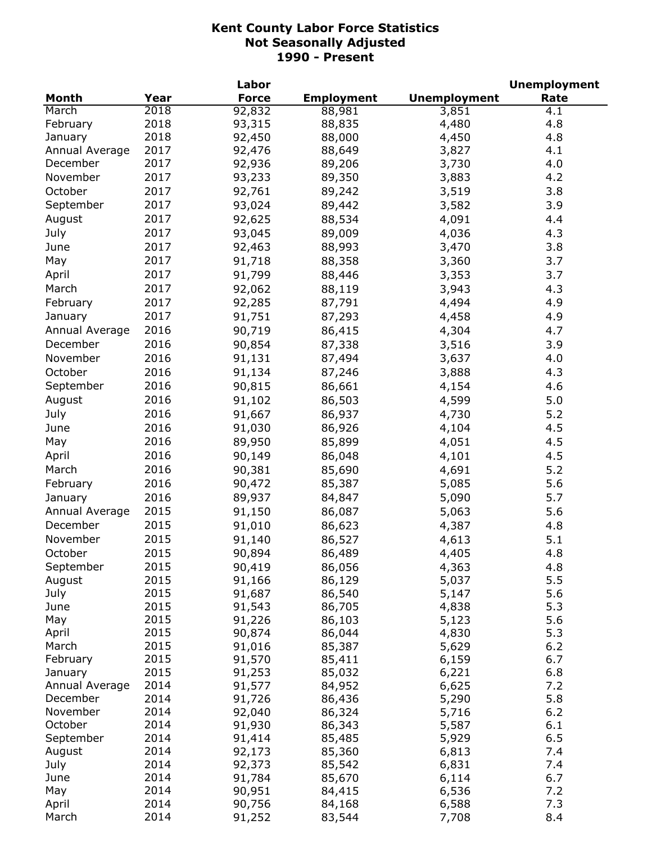|                |      | Labor            |                   |                     | <b>Unemployment</b> |
|----------------|------|------------------|-------------------|---------------------|---------------------|
| <b>Month</b>   | Year | <b>Force</b>     | <b>Employment</b> | <b>Unemployment</b> | Rate                |
| March          | 2018 | 92,832           | 88,981            | 3,851               | 4.1                 |
| February       | 2018 | 93,315           | 88,835            | 4,480               | 4.8                 |
| January        | 2018 | 92,450           | 88,000            | 4,450               | 4.8                 |
| Annual Average | 2017 | 92,476           | 88,649            | 3,827               | 4.1                 |
| December       | 2017 | 92,936           | 89,206            | 3,730               | 4.0                 |
| November       | 2017 | 93,233           | 89,350            | 3,883               | 4.2                 |
| October        | 2017 | 92,761           | 89,242            | 3,519               | 3.8                 |
| September      | 2017 | 93,024           | 89,442            | 3,582               | 3.9                 |
| August         | 2017 | 92,625           | 88,534            | 4,091               | 4.4                 |
| July           | 2017 | 93,045           | 89,009            | 4,036               | 4.3                 |
| June           | 2017 | 92,463           | 88,993            | 3,470               | 3.8                 |
| May            | 2017 | 91,718           | 88,358            | 3,360               | 3.7                 |
| April          | 2017 | 91,799           | 88,446            | 3,353               | 3.7                 |
| March          | 2017 | 92,062           | 88,119            | 3,943               | 4.3                 |
|                | 2017 | 92,285           | 87,791            |                     | 4.9                 |
| February       |      |                  |                   | 4,494               |                     |
| January        | 2017 | 91,751           | 87,293            | 4,458               | 4.9                 |
| Annual Average | 2016 | 90,719           | 86,415            | 4,304               | 4.7                 |
| December       | 2016 | 90,854           | 87,338            | 3,516               | 3.9                 |
| November       | 2016 | 91,131           | 87,494            | 3,637               | 4.0                 |
| October        | 2016 | 91,134           | 87,246            | 3,888               | 4.3                 |
| September      | 2016 | 90,815           | 86,661            | 4,154               | 4.6                 |
| August         | 2016 | 91,102           | 86,503            | 4,599               | 5.0                 |
| July           | 2016 | 91,667           | 86,937            | 4,730               | 5.2                 |
| June           | 2016 | 91,030           | 86,926            | 4,104               | 4.5                 |
| May            | 2016 | 89,950           | 85,899            | 4,051               | 4.5                 |
| April          | 2016 | 90,149           | 86,048            | 4,101               | 4.5                 |
| March          | 2016 | 90,381           | 85,690            | 4,691               | 5.2                 |
| February       | 2016 | 90,472           | 85,387            | 5,085               | 5.6                 |
| January        | 2016 | 89,937           | 84,847            | 5,090               | 5.7                 |
| Annual Average | 2015 | 91,150           | 86,087            | 5,063               | 5.6                 |
| December       | 2015 | 91,010           | 86,623            | 4,387               | 4.8                 |
| November       | 2015 | 91,140           | 86,527            | 4,613               | 5.1                 |
| October        | 2015 | 90,894           | 86,489            | 4,405               | 4.8                 |
| September      | 2015 | 90,419           |                   | 4,363               | 4.8                 |
| August         | 2015 | 91,166           | 86,056            | 5,037               | 5.5                 |
| July           | 2015 | 91,687           | 86,129<br>86,540  | 5,147               | 5.6                 |
| June           | 2015 | 91,543           | 86,705            | 4,838               | 5.3                 |
| May            | 2015 | 91,226           | 86,103            | 5,123               | 5.6                 |
| April          | 2015 | 90,874           | 86,044            | 4,830               | 5.3                 |
| March          | 2015 | 91,016           | 85,387            | 5,629               | 6.2                 |
| February       | 2015 | 91,570           | 85,411            | 6,159               | 6.7                 |
| January        | 2015 | 91,253           | 85,032            | 6,221               | 6.8                 |
| Annual Average | 2014 | 91,577           | 84,952            | 6,625               | 7.2                 |
| December       | 2014 | 91,726           | 86,436            | 5,290               | 5.8                 |
| November       | 2014 | 92,040           | 86,324            | 5,716               | $6.2$               |
| October        | 2014 | 91,930           | 86,343            | 5,587               | 6.1                 |
| September      | 2014 | 91,414           | 85,485            | 5,929               | 6.5                 |
| August         | 2014 |                  | 85,360            |                     | 7.4                 |
| July           | 2014 | 92,173<br>92,373 | 85,542            | 6,813<br>6,831      | 7.4                 |
| June           | 2014 | 91,784           | 85,670            | 6,114               | 6.7                 |
| May            | 2014 | 90,951           | 84,415            | 6,536               | 7.2                 |
|                | 2014 |                  |                   |                     | 7.3                 |
| April          | 2014 | 90,756           | 84,168            | 6,588               |                     |
| March          |      | 91,252           | 83,544            | 7,708               | 8.4                 |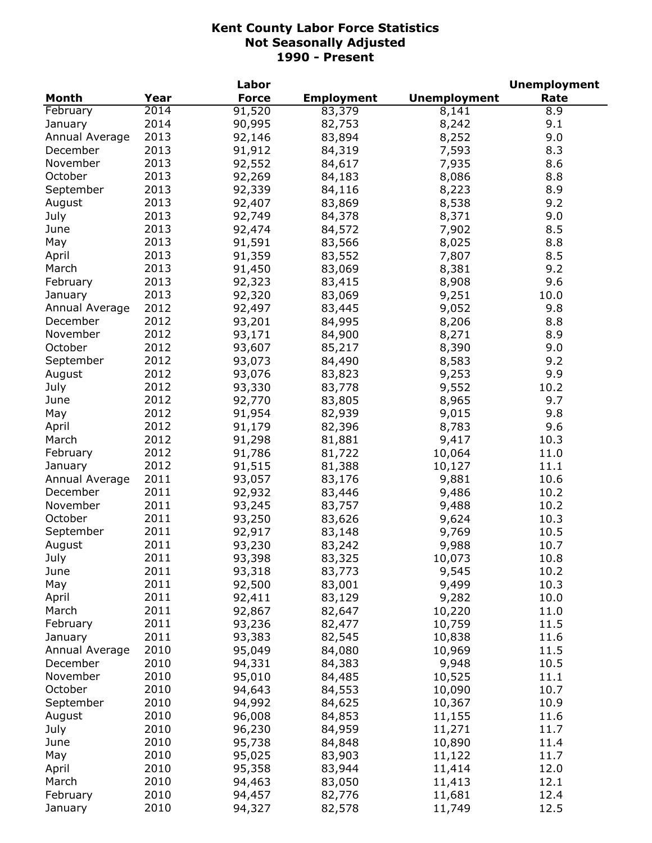|                |      | Labor        |                   |                     | <b>Unemployment</b> |
|----------------|------|--------------|-------------------|---------------------|---------------------|
| <b>Month</b>   | Year | <b>Force</b> | <b>Employment</b> | <b>Unemployment</b> | Rate                |
| February       | 2014 | 91,520       | 83,379            | 8,141               | 8.9                 |
| January        | 2014 | 90,995       | 82,753            | 8,242               | 9.1                 |
| Annual Average | 2013 | 92,146       | 83,894            | 8,252               | 9.0                 |
| December       | 2013 | 91,912       | 84,319            | 7,593               | 8.3                 |
| November       | 2013 | 92,552       | 84,617            | 7,935               | 8.6                 |
| October        | 2013 | 92,269       | 84,183            | 8,086               | 8.8                 |
| September      | 2013 | 92,339       | 84,116            | 8,223               | 8.9                 |
| August         | 2013 | 92,407       | 83,869            | 8,538               | 9.2                 |
| July           | 2013 | 92,749       | 84,378            | 8,371               | 9.0                 |
| June           | 2013 | 92,474       | 84,572            | 7,902               | 8.5                 |
| May            | 2013 | 91,591       | 83,566            | 8,025               | 8.8                 |
| April          | 2013 | 91,359       | 83,552            | 7,807               | 8.5                 |
| March          | 2013 | 91,450       | 83,069            | 8,381               | 9.2                 |
| February       | 2013 | 92,323       | 83,415            | 8,908               | 9.6                 |
| January        | 2013 | 92,320       | 83,069            | 9,251               | 10.0                |
| Annual Average | 2012 | 92,497       | 83,445            | 9,052               | 9.8                 |
| December       | 2012 | 93,201       | 84,995            | 8,206               | 8.8                 |
| November       | 2012 | 93,171       | 84,900            | 8,271               | 8.9                 |
| October        | 2012 |              |                   |                     |                     |
|                |      | 93,607       | 85,217            | 8,390               | 9.0                 |
| September      | 2012 | 93,073       | 84,490            | 8,583               | 9.2                 |
| August         | 2012 | 93,076       | 83,823            | 9,253               | 9.9                 |
| July           | 2012 | 93,330       | 83,778            | 9,552               | 10.2                |
| June           | 2012 | 92,770       | 83,805            | 8,965               | 9.7                 |
| May            | 2012 | 91,954       | 82,939            | 9,015               | 9.8                 |
| April          | 2012 | 91,179       | 82,396            | 8,783               | 9.6                 |
| March          | 2012 | 91,298       | 81,881            | 9,417               | 10.3                |
| February       | 2012 | 91,786       | 81,722            | 10,064              | 11.0                |
| January        | 2012 | 91,515       | 81,388            | 10,127              | 11.1                |
| Annual Average | 2011 | 93,057       | 83,176            | 9,881               | 10.6                |
| December       | 2011 | 92,932       | 83,446            | 9,486               | 10.2                |
| November       | 2011 | 93,245       | 83,757            | 9,488               | 10.2                |
| October        | 2011 | 93,250       | 83,626            | 9,624               | 10.3                |
| September      | 2011 | 92,917       | 83,148            | 9,769               | 10.5                |
| August         | 2011 | 93,230       | 83,242            | 9,988               | 10.7                |
| July           | 2011 | 93,398       | 83,325            | 10,073              | 10.8                |
| June           | 2011 | 93,318       | 83,773            | 9,545               | 10.2                |
| May            | 2011 | 92,500       | 83,001            | 9,499               | 10.3                |
| April          | 2011 | 92,411       | 83,129            | 9,282               | 10.0                |
| March          | 2011 | 92,867       | 82,647            | 10,220              | 11.0                |
| February       | 2011 | 93,236       | 82,477            | 10,759              | 11.5                |
| January        | 2011 | 93,383       | 82,545            | 10,838              | 11.6                |
| Annual Average | 2010 | 95,049       | 84,080            | 10,969              | 11.5                |
| December       | 2010 | 94,331       | 84,383            | 9,948               | 10.5                |
| November       | 2010 | 95,010       | 84,485            | 10,525              | 11.1                |
| October        | 2010 | 94,643       | 84,553            | 10,090              | 10.7                |
| September      | 2010 | 94,992       | 84,625            | 10,367              | 10.9                |
| August         | 2010 | 96,008       | 84,853            | 11,155              | 11.6                |
| July           | 2010 | 96,230       | 84,959            | 11,271              | 11.7                |
| June           | 2010 | 95,738       | 84,848            | 10,890              | 11.4                |
| May            | 2010 | 95,025       | 83,903            | 11,122              | 11.7                |
| April          | 2010 | 95,358       | 83,944            | 11,414              | 12.0                |
| March          | 2010 | 94,463       | 83,050            | 11,413              | 12.1                |
| February       | 2010 | 94,457       | 82,776            | 11,681              | 12.4                |
| January        | 2010 | 94,327       | 82,578            | 11,749              | 12.5                |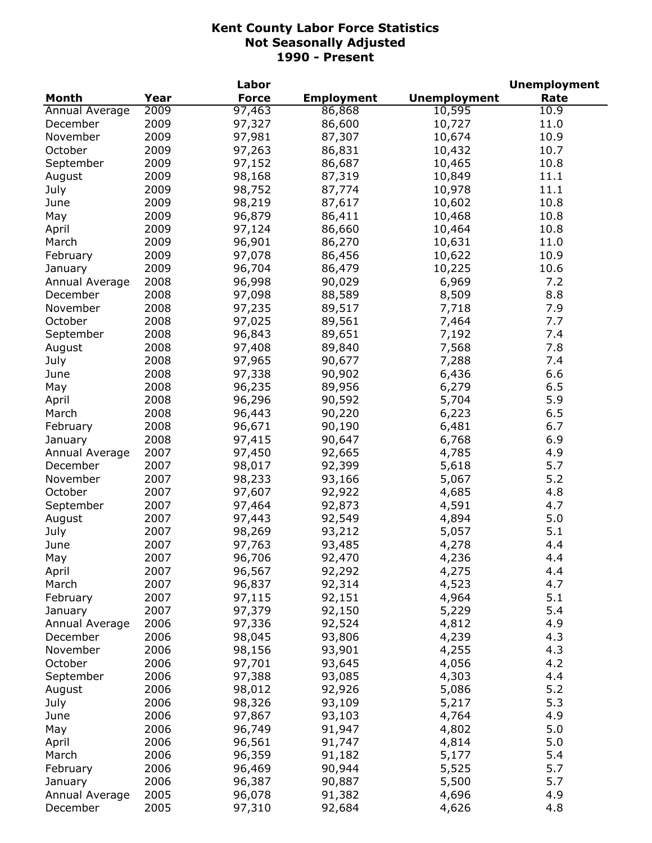|                |              | Labor            |                   |                     | <b>Unemployment</b> |
|----------------|--------------|------------------|-------------------|---------------------|---------------------|
| <b>Month</b>   | Year         | <b>Force</b>     | <b>Employment</b> | <b>Unemployment</b> | Rate                |
| Annual Average | 2009         | 97,463           | 86,868            | 10,595              | 10.9                |
| December       | 2009         | 97,327           | 86,600            | 10,727              | 11.0                |
| November       | 2009         | 97,981           | 87,307            | 10,674              | 10.9                |
| October        | 2009         | 97,263           | 86,831            | 10,432              | 10.7                |
| September      | 2009         | 97,152           | 86,687            | 10,465              | 10.8                |
| August         | 2009         | 98,168           | 87,319            | 10,849              | 11.1                |
| July           | 2009         | 98,752           | 87,774            | 10,978              | 11.1                |
| June           | 2009         | 98,219           | 87,617            | 10,602              | 10.8                |
| May            | 2009         | 96,879           | 86,411            | 10,468              | 10.8                |
| April          | 2009         | 97,124           | 86,660            | 10,464              | 10.8                |
| March          | 2009         | 96,901           | 86,270            | 10,631              | 11.0                |
| February       | 2009         | 97,078           | 86,456            | 10,622              | 10.9                |
| January        | 2009         | 96,704           | 86,479            | 10,225              | 10.6                |
| Annual Average | 2008         | 96,998           | 90,029            | 6,969               | 7.2                 |
| December       | 2008         | 97,098           | 88,589            | 8,509               | 8.8                 |
| November       | 2008         | 97,235           | 89,517            | 7,718               | 7.9                 |
| October        | 2008         | 97,025           | 89,561            | 7,464               | 7.7                 |
| September      | 2008         | 96,843           | 89,651            | 7,192               | 7.4                 |
| August         | 2008         | 97,408           | 89,840            | 7,568               | 7.8                 |
| July           | 2008         | 97,965           | 90,677            | 7,288               | 7.4                 |
| June           | 2008         | 97,338           | 90,902            | 6,436               | 6.6                 |
| May            | 2008         | 96,235           | 89,956            | 6,279               | 6.5                 |
| April          | 2008         | 96,296           | 90,592            | 5,704               | 5.9                 |
| March          | 2008         | 96,443           | 90,220            | 6,223               | 6.5                 |
| February       | 2008         | 96,671           | 90,190            | 6,481               | 6.7                 |
| January        | 2008         | 97,415           | 90,647            | 6,768               | 6.9                 |
| Annual Average | 2007         | 97,450           | 92,665            | 4,785               | 4.9                 |
| December       | 2007         | 98,017           | 92,399            | 5,618               | 5.7                 |
| November       | 2007         | 98,233           | 93,166            | 5,067               | 5.2                 |
| October        | 2007         | 97,607           | 92,922            | 4,685               | 4.8                 |
| September      | 2007         | 97,464           | 92,873            | 4,591               | 4.7                 |
| August         | 2007         | 97,443           | 92,549            | 4,894               | 5.0                 |
| July           | 2007         | 98,269           | 93,212            | 5,057               | 5.1                 |
| June           | 2007         | 97,763           | 93,485            | 4,278               | 4.4                 |
|                | 2007         |                  |                   |                     | 4.4                 |
| May            | 2007         | 96,706<br>96,567 | 92,470<br>92,292  | 4,236<br>4,275      | 4.4                 |
| April          | 2007         | 96,837           |                   | 4,523               | 4.7                 |
| March          |              |                  | 92,314            |                     |                     |
| February       | 2007         | 97,115           | 92,151            | 4,964               | 5.1                 |
| January        | 2007         | 97,379           | 92,150            | 5,229               | 5.4<br>4.9          |
| Annual Average | 2006         | 97,336           | 92,524            | 4,812               | 4.3                 |
| December       | 2006<br>2006 | 98,045           | 93,806            | 4,239               |                     |
| November       |              | 98,156           | 93,901            | 4,255               | 4.3                 |
| October        | 2006         | 97,701           | 93,645            | 4,056               | 4.2                 |
| September      | 2006         | 97,388           | 93,085            | 4,303               | 4.4                 |
| August         | 2006         | 98,012           | 92,926            | 5,086               | 5.2                 |
| July           | 2006         | 98,326           | 93,109            | 5,217               | 5.3                 |
| June           | 2006         | 97,867           | 93,103            | 4,764               | 4.9                 |
| May            | 2006         | 96,749           | 91,947            | 4,802               | 5.0                 |
| April          | 2006         | 96,561           | 91,747            | 4,814               | 5.0                 |
| March          | 2006         | 96,359           | 91,182            | 5,177               | 5.4                 |
| February       | 2006         | 96,469           | 90,944            | 5,525               | 5.7                 |
| January        | 2006         | 96,387           | 90,887            | 5,500               | 5.7                 |
| Annual Average | 2005         | 96,078           | 91,382            | 4,696               | 4.9                 |
| December       | 2005         | 97,310           | 92,684            | 4,626               | 4.8                 |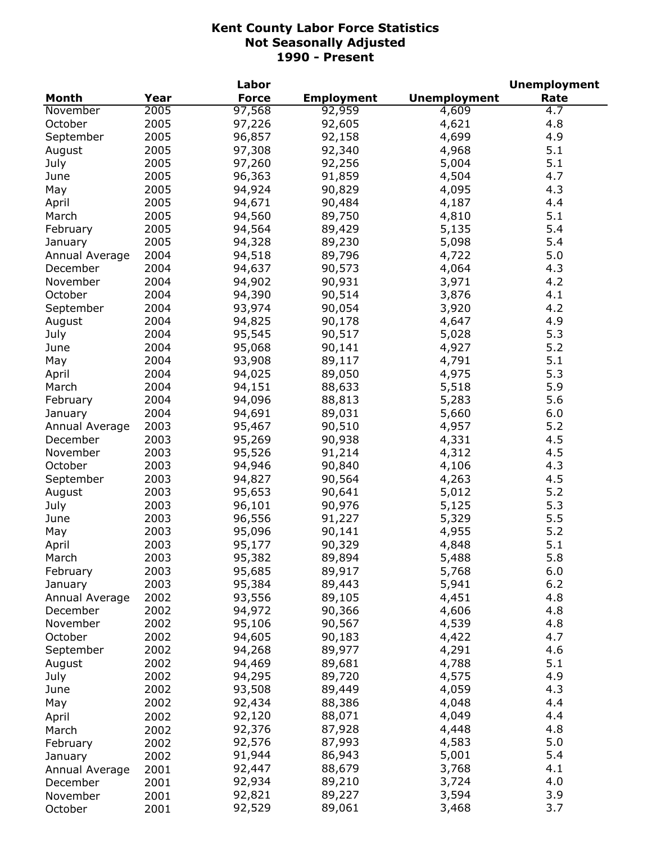|                |      | Labor        |                   |                     | <b>Unemployment</b> |
|----------------|------|--------------|-------------------|---------------------|---------------------|
| <b>Month</b>   | Year | <b>Force</b> | <b>Employment</b> | <b>Unemployment</b> | Rate                |
| November       | 2005 | 97,568       | 92,959            | 4,609               | $\overline{4.7}$    |
| October        | 2005 | 97,226       | 92,605            | 4,621               | 4.8                 |
| September      | 2005 | 96,857       | 92,158            | 4,699               | 4.9                 |
| August         | 2005 | 97,308       | 92,340            | 4,968               | 5.1                 |
| July           | 2005 | 97,260       | 92,256            | 5,004               | 5.1                 |
| June           | 2005 | 96,363       | 91,859            | 4,504               | 4.7                 |
| May            | 2005 | 94,924       | 90,829            | 4,095               | 4.3                 |
| April          | 2005 | 94,671       | 90,484            | 4,187               | 4.4                 |
| March          | 2005 | 94,560       | 89,750            | 4,810               | 5.1                 |
| February       | 2005 | 94,564       | 89,429            | 5,135               | 5.4                 |
| January        | 2005 | 94,328       | 89,230            | 5,098               | 5.4                 |
| Annual Average | 2004 | 94,518       | 89,796            | 4,722               | 5.0                 |
| December       | 2004 | 94,637       | 90,573            | 4,064               | 4.3                 |
| November       | 2004 | 94,902       | 90,931            | 3,971               | 4.2                 |
| October        | 2004 | 94,390       | 90,514            | 3,876               | 4.1                 |
| September      | 2004 | 93,974       | 90,054            | 3,920               | 4.2                 |
| August         | 2004 | 94,825       | 90,178            | 4,647               | 4.9                 |
|                | 2004 |              |                   | 5,028               | 5.3                 |
| July           |      | 95,545       | 90,517            |                     |                     |
| June           | 2004 | 95,068       | 90,141            | 4,927               | 5.2                 |
| May            | 2004 | 93,908       | 89,117            | 4,791               | 5.1                 |
| April          | 2004 | 94,025       | 89,050            | 4,975               | 5.3                 |
| March          | 2004 | 94,151       | 88,633            | 5,518               | 5.9                 |
| February       | 2004 | 94,096       | 88,813            | 5,283               | 5.6                 |
| January        | 2004 | 94,691       | 89,031            | 5,660               | 6.0                 |
| Annual Average | 2003 | 95,467       | 90,510            | 4,957               | 5.2                 |
| December       | 2003 | 95,269       | 90,938            | 4,331               | 4.5                 |
| November       | 2003 | 95,526       | 91,214            | 4,312               | 4.5                 |
| October        | 2003 | 94,946       | 90,840            | 4,106               | 4.3                 |
| September      | 2003 | 94,827       | 90,564            | 4,263               | 4.5                 |
| August         | 2003 | 95,653       | 90,641            | 5,012               | 5.2                 |
| July           | 2003 | 96,101       | 90,976            | 5,125               | 5.3                 |
| June           | 2003 | 96,556       | 91,227            | 5,329               | 5.5                 |
| May            | 2003 | 95,096       | 90,141            | 4,955               | 5.2                 |
| April          | 2003 | 95,177       | 90,329            | 4,848               | 5.1                 |
| March          | 2003 | 95,382       | 89,894            | 5,488               | 5.8                 |
| February       | 2003 | 95,685       | 89,917            | 5,768               | 6.0                 |
| January        | 2003 | 95,384       | 89,443            | 5,941               | $6.2$               |
| Annual Average | 2002 | 93,556       | 89,105            | 4,451               | 4.8                 |
| December       | 2002 | 94,972       | 90,366            | 4,606               | 4.8                 |
| November       | 2002 | 95,106       | 90,567            | 4,539               | 4.8                 |
| October        | 2002 | 94,605       | 90,183            | 4,422               | 4.7                 |
| September      | 2002 | 94,268       | 89,977            | 4,291               | 4.6                 |
| August         | 2002 | 94,469       | 89,681            | 4,788               | 5.1                 |
| July           | 2002 | 94,295       | 89,720            | 4,575               | 4.9                 |
| June           | 2002 | 93,508       | 89,449            | 4,059               | 4.3                 |
| May            | 2002 | 92,434       | 88,386            | 4,048               | 4.4                 |
| April          | 2002 | 92,120       | 88,071            | 4,049               | 4.4                 |
| March          | 2002 | 92,376       | 87,928            | 4,448               | 4.8                 |
| February       | 2002 | 92,576       | 87,993            | 4,583               | 5.0                 |
| January        | 2002 | 91,944       | 86,943            | 5,001               | 5.4                 |
| Annual Average | 2001 | 92,447       | 88,679            | 3,768               | 4.1                 |
| December       | 2001 | 92,934       | 89,210            | 3,724               | 4.0                 |
| November       | 2001 | 92,821       | 89,227            | 3,594               | 3.9                 |
| October        | 2001 | 92,529       | 89,061            | 3,468               | 3.7                 |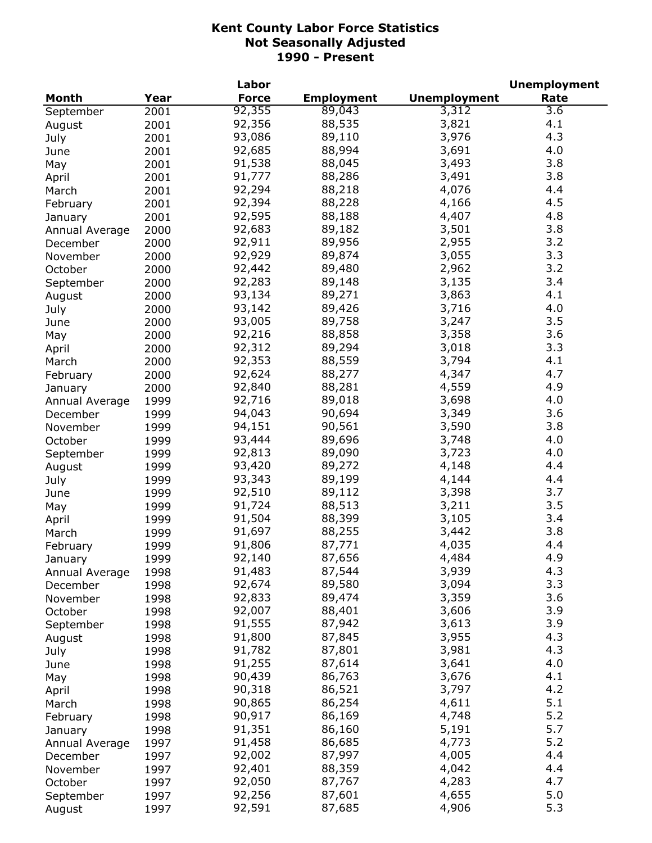|                |      | Labor        |                   |                     | <b>Unemployment</b> |
|----------------|------|--------------|-------------------|---------------------|---------------------|
| <b>Month</b>   | Year | <b>Force</b> | <b>Employment</b> | <b>Unemployment</b> | Rate                |
| September      | 2001 | 92,355       | 89,043            | 3,312               | 3.6                 |
| August         | 2001 | 92,356       | 88,535            | 3,821               | 4.1                 |
| July           | 2001 | 93,086       | 89,110            | 3,976               | 4.3                 |
| June           | 2001 | 92,685       | 88,994            | 3,691               | 4.0                 |
| May            | 2001 | 91,538       | 88,045            | 3,493               | 3.8                 |
| April          | 2001 | 91,777       | 88,286            | 3,491               | 3.8                 |
| March          | 2001 | 92,294       | 88,218            | 4,076               | 4.4                 |
| February       | 2001 | 92,394       | 88,228            | 4,166               | 4.5                 |
| January        | 2001 | 92,595       | 88,188            | 4,407               | 4.8                 |
| Annual Average | 2000 | 92,683       | 89,182            | 3,501               | 3.8                 |
| December       | 2000 | 92,911       | 89,956            | 2,955               | 3.2                 |
| November       | 2000 | 92,929       | 89,874            | 3,055               | 3.3                 |
|                |      | 92,442       | 89,480            | 2,962               | 3.2                 |
| October        | 2000 |              |                   |                     | 3.4                 |
| September      | 2000 | 92,283       | 89,148            | 3,135               |                     |
| August         | 2000 | 93,134       | 89,271            | 3,863               | 4.1                 |
| July           | 2000 | 93,142       | 89,426            | 3,716               | 4.0                 |
| June           | 2000 | 93,005       | 89,758            | 3,247               | 3.5                 |
| May            | 2000 | 92,216       | 88,858            | 3,358               | 3.6                 |
| April          | 2000 | 92,312       | 89,294            | 3,018               | 3.3                 |
| March          | 2000 | 92,353       | 88,559            | 3,794               | 4.1                 |
| February       | 2000 | 92,624       | 88,277            | 4,347               | 4.7                 |
| January        | 2000 | 92,840       | 88,281            | 4,559               | 4.9                 |
| Annual Average | 1999 | 92,716       | 89,018            | 3,698               | 4.0                 |
| December       | 1999 | 94,043       | 90,694            | 3,349               | 3.6                 |
| November       | 1999 | 94,151       | 90,561            | 3,590               | 3.8                 |
| October        | 1999 | 93,444       | 89,696            | 3,748               | 4.0                 |
| September      | 1999 | 92,813       | 89,090            | 3,723               | 4.0                 |
| August         | 1999 | 93,420       | 89,272            | 4,148               | 4.4                 |
| July           | 1999 | 93,343       | 89,199            | 4,144               | 4.4                 |
| June           | 1999 | 92,510       | 89,112            | 3,398               | 3.7                 |
| May            | 1999 | 91,724       | 88,513            | 3,211               | 3.5                 |
| April          | 1999 | 91,504       | 88,399            | 3,105               | 3.4                 |
| March          | 1999 | 91,697       | 88,255            | 3,442               | 3.8                 |
| February       | 1999 | 91,806       | 87,771            | 4,035               | 4.4                 |
| January        | 1999 | 92,140       | 87,656            | 4,484               | 4.9                 |
| Annual Average | 1998 | 91,483       | 87,544            | 3,939               | 4.3                 |
| December       | 1998 | 92,674       | 89,580            | 3,094               | 3.3                 |
| November       | 1998 | 92,833       | 89,474            | 3,359               | 3.6                 |
| October        | 1998 | 92,007       | 88,401            | 3,606               | 3.9                 |
| September      | 1998 | 91,555       | 87,942            | 3,613               | 3.9                 |
| August         | 1998 | 91,800       | 87,845            | 3,955               | 4.3                 |
|                | 1998 | 91,782       | 87,801            | 3,981               | 4.3                 |
| July           |      | 91,255       | 87,614            | 3,641               | 4.0                 |
| June           | 1998 | 90,439       | 86,763            |                     | 4.1                 |
| May            | 1998 |              |                   | 3,676               | 4.2                 |
| April          | 1998 | 90,318       | 86,521            | 3,797               |                     |
| March          | 1998 | 90,865       | 86,254            | 4,611               | 5.1                 |
| February       | 1998 | 90,917       | 86,169            | 4,748               | 5.2                 |
| January        | 1998 | 91,351       | 86,160            | 5,191               | 5.7                 |
| Annual Average | 1997 | 91,458       | 86,685            | 4,773               | 5.2                 |
| December       | 1997 | 92,002       | 87,997            | 4,005               | 4.4                 |
| November       | 1997 | 92,401       | 88,359            | 4,042               | 4.4                 |
| October        | 1997 | 92,050       | 87,767            | 4,283               | 4.7                 |
| September      | 1997 | 92,256       | 87,601            | 4,655               | 5.0                 |
| August         | 1997 | 92,591       | 87,685            | 4,906               | 5.3                 |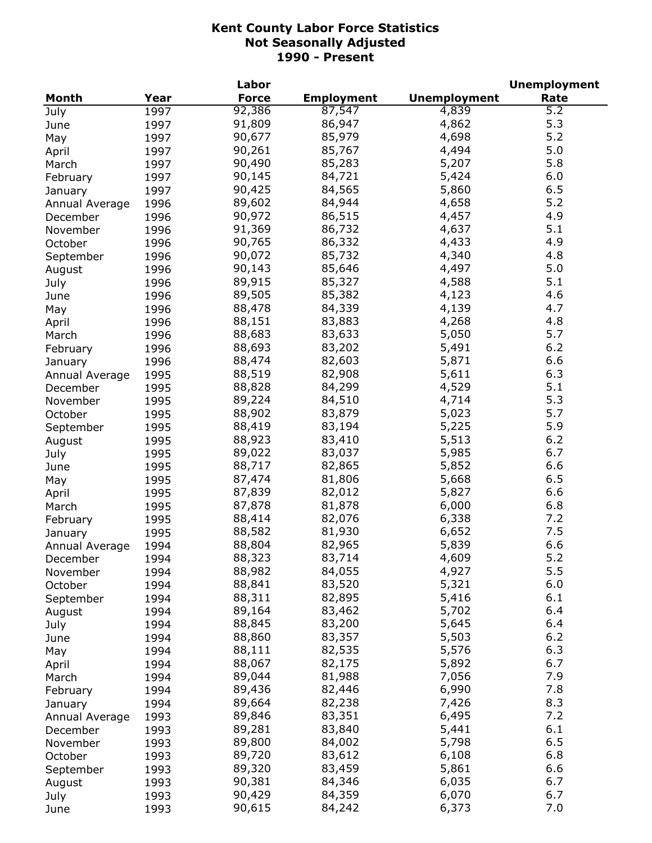|                |      | Labor        |                   |                     | <b>Unemployment</b> |
|----------------|------|--------------|-------------------|---------------------|---------------------|
| <b>Month</b>   | Year | <b>Force</b> | <b>Employment</b> | <b>Unemployment</b> | Rate                |
| July           | 1997 | 92,386       | 87,547            | 4,839               | 5.2                 |
| June           | 1997 | 91,809       | 86,947            | 4,862               | 5.3                 |
| May            | 1997 | 90,677       | 85,979            | 4,698               | 5.2                 |
| April          | 1997 | 90,261       | 85,767            | 4,494               | 5.0                 |
| March          | 1997 | 90,490       | 85,283            | 5,207               | 5.8                 |
| February       | 1997 | 90,145       | 84,721            | 5,424               | 6.0                 |
| January        | 1997 | 90,425       | 84,565            | 5,860               | 6.5                 |
| Annual Average | 1996 | 89,602       | 84,944            | 4,658               | 5.2                 |
| December       | 1996 | 90,972       | 86,515            | 4,457               | 4.9                 |
| November       | 1996 | 91,369       | 86,732            | 4,637               | 5.1                 |
| October        | 1996 | 90,765       | 86,332            | 4,433               | 4.9                 |
| September      | 1996 | 90,072       | 85,732            | 4,340               | 4.8                 |
| August         | 1996 | 90,143       | 85,646            | 4,497               | 5.0                 |
| July           | 1996 | 89,915       | 85,327            | 4,588               | 5.1                 |
| June           | 1996 | 89,505       | 85,382            | 4,123               | 4.6                 |
|                | 1996 | 88,478       | 84,339            | 4,139               | 4.7                 |
| May            | 1996 | 88,151       | 83,883            | 4,268               | 4.8                 |
| April          |      | 88,683       | 83,633            | 5,050               | 5.7                 |
| March          | 1996 |              |                   |                     |                     |
| February       | 1996 | 88,693       | 83,202            | 5,491               | 6.2                 |
| January        | 1996 | 88,474       | 82,603            | 5,871               | 6.6                 |
| Annual Average | 1995 | 88,519       | 82,908            | 5,611               | 6.3                 |
| December       | 1995 | 88,828       | 84,299            | 4,529               | 5.1                 |
| November       | 1995 | 89,224       | 84,510            | 4,714               | 5.3                 |
| October        | 1995 | 88,902       | 83,879            | 5,023               | 5.7                 |
| September      | 1995 | 88,419       | 83,194            | 5,225               | 5.9                 |
| August         | 1995 | 88,923       | 83,410            | 5,513               | 6.2                 |
| July           | 1995 | 89,022       | 83,037            | 5,985               | 6.7                 |
| June           | 1995 | 88,717       | 82,865            | 5,852               | 6.6                 |
| May            | 1995 | 87,474       | 81,806            | 5,668               | 6.5                 |
| April          | 1995 | 87,839       | 82,012            | 5,827               | 6.6                 |
| March          | 1995 | 87,878       | 81,878            | 6,000               | 6.8                 |
| February       | 1995 | 88,414       | 82,076            | 6,338               | 7.2                 |
| January        | 1995 | 88,582       | 81,930            | 6,652               | 7.5                 |
| Annual Average | 1994 | 88,804       | 82,965            | 5,839               | 6.6                 |
| December       | 1994 | 88,323       | 83,714            | 4,609               | 5.2                 |
| November       | 1994 | 88,982       | 84,055            | 4,927               | 5.5                 |
| October        | 1994 | 88,841       | 83,520            | 5,321               | 6.0                 |
| September      | 1994 | 88,311       | 82,895            | 5,416               | 6.1                 |
| August         | 1994 | 89,164       | 83,462            | 5,702               | 6.4                 |
| July           | 1994 | 88,845       | 83,200            | 5,645               | 6.4                 |
| June           | 1994 | 88,860       | 83,357            | 5,503               | 6.2                 |
| May            | 1994 | 88,111       | 82,535            | 5,576               | 6.3                 |
| April          | 1994 | 88,067       | 82,175            | 5,892               | 6.7                 |
| March          | 1994 | 89,044       | 81,988            | 7,056               | 7.9                 |
| February       | 1994 | 89,436       | 82,446            | 6,990               | 7.8                 |
| January        | 1994 | 89,664       | 82,238            | 7,426               | 8.3                 |
| Annual Average | 1993 | 89,846       | 83,351            | 6,495               | 7.2                 |
| December       | 1993 | 89,281       | 83,840            | 5,441               | 6.1                 |
| November       | 1993 | 89,800       | 84,002            | 5,798               | 6.5                 |
| October        | 1993 | 89,720       | 83,612            | 6,108               | 6.8                 |
| September      | 1993 | 89,320       | 83,459            | 5,861               | 6.6                 |
| August         | 1993 | 90,381       | 84,346            | 6,035               | 6.7                 |
| July           | 1993 | 90,429       | 84,359            | 6,070               | 6.7                 |
| June           | 1993 | 90,615       | 84,242            | 6,373               | 7.0                 |